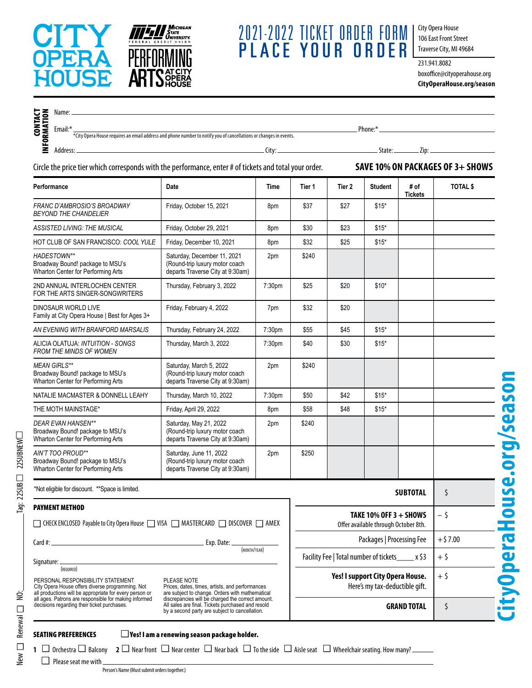

New  $\Box$  Renewal  $\Box$  NO:  $\qquad \qquad \Box$  Tag: 22SUB  $\Box$  22SUBNEW

New  $\Box$  Renewal  $\Box$  NO:

Tag:  $22SUB \square 22SUBNEW \square$ 

## 2021-2022 TICKET order form PLACE YOUR O

City Opera House 106 East Front Street Traverse City, MI 49684

231.941.8082 boxoffice@cityoperahouse.org **CityOperaHouse.org/season**

| <b>CONTACT</b><br>INFORMATION                                                                                                                                                                                                                                                       | Email:* <sub>*</sub><br>Email:* <sub>*</sub> City Opera House requires an email address and phone number to notify you of cancellations or changes in events. |                                                                                                   |        |                                                                    |        |                |                 |                 |
|-------------------------------------------------------------------------------------------------------------------------------------------------------------------------------------------------------------------------------------------------------------------------------------|---------------------------------------------------------------------------------------------------------------------------------------------------------------|---------------------------------------------------------------------------------------------------|--------|--------------------------------------------------------------------|--------|----------------|-----------------|-----------------|
|                                                                                                                                                                                                                                                                                     | Circle the price tier which corresponds with the performance, enter # of tickets and total your order.                                                        | SAVE 10% ON PACKAGES OF 3+ SHOWS                                                                  |        |                                                                    |        |                |                 |                 |
| Performance                                                                                                                                                                                                                                                                         |                                                                                                                                                               | Date                                                                                              | Time   | Tier 1                                                             | Tier 2 | <b>Student</b> | # of            | <b>TOTAL \$</b> |
| FRANC D'AMBROSIO'S BROADWAY<br><b>BEYOND THE CHANDELIER</b>                                                                                                                                                                                                                         |                                                                                                                                                               | Friday, October 15, 2021                                                                          | 8pm    | \$37                                                               | \$27   | $$15*$         | <b>Tickets</b>  |                 |
|                                                                                                                                                                                                                                                                                     | ASSISTED LIVING: THE MUSICAL                                                                                                                                  | Friday, October 29, 2021                                                                          | 8pm    | \$30                                                               | \$23   | $$15*$         |                 |                 |
| HOT CLUB OF SAN FRANCISCO: COOL YULE                                                                                                                                                                                                                                                |                                                                                                                                                               | Friday, December 10, 2021                                                                         | 8pm    | \$32                                                               | \$25   | $$15*$         |                 |                 |
| <b>HADESTOWN**</b>                                                                                                                                                                                                                                                                  | Broadway Bound! package to MSU's<br>Wharton Center for Performing Arts                                                                                        | Saturday, December 11, 2021<br>(Round-trip luxury motor coach<br>departs Traverse City at 9:30am) | 2pm    | \$240                                                              |        |                |                 |                 |
|                                                                                                                                                                                                                                                                                     | 2ND ANNUAL INTERLOCHEN CENTER<br>FOR THE ARTS SINGER-SONGWRITERS                                                                                              | Thursday, February 3, 2022                                                                        | 7:30pm | \$25                                                               | \$20   | $$10*$         |                 |                 |
|                                                                                                                                                                                                                                                                                     | DINOSAUR WORLD LIVE<br>Family at City Opera House   Best for Ages 3+                                                                                          | Friday, February 4, 2022                                                                          | 7pm    | \$32                                                               | \$20   |                |                 |                 |
|                                                                                                                                                                                                                                                                                     | AN EVENING WITH BRANFORD MARSALIS                                                                                                                             | Thursday, February 24, 2022                                                                       | 7:30pm | \$55                                                               | \$45   | $$15*$         |                 |                 |
|                                                                                                                                                                                                                                                                                     | ALICIA OLATUJA: INTUITION - SONGS<br><b>FROM THE MINDS OF WOMEN</b>                                                                                           | Thursday, March 3, 2022                                                                           | 7:30pm | \$40                                                               | \$30   | $$15*$         |                 |                 |
| <b>MEAN GIRLS**</b>                                                                                                                                                                                                                                                                 | Broadway Bound! package to MSU's<br>Wharton Center for Performing Arts                                                                                        | Saturday, March 5, 2022<br>(Round-trip luxury motor coach<br>departs Traverse City at 9:30am)     | 2pm    | \$240                                                              |        |                |                 |                 |
|                                                                                                                                                                                                                                                                                     | NATALIE MACMASTER & DONNELL LEAHY                                                                                                                             | Thursday, March 10, 2022                                                                          | 7:30pm | \$50                                                               | \$42   | $$15*$         |                 |                 |
|                                                                                                                                                                                                                                                                                     | THE MOTH MAINSTAGE*                                                                                                                                           | Friday, April 29, 2022                                                                            | 8pm    | \$58                                                               | \$48   | $$15*$         |                 |                 |
|                                                                                                                                                                                                                                                                                     | <b>DEAR EVAN HANSEN**</b><br>Broadway Bound! package to MSU's<br>Wharton Center for Performing Arts                                                           | Saturday, May 21, 2022<br>(Round-trip luxury motor coach<br>departs Traverse City at 9:30am)      | 2pm    | \$240                                                              |        |                |                 |                 |
|                                                                                                                                                                                                                                                                                     | AIN'T TOO PROUD**<br>Broadway Bound! package to MSU's<br>Wharton Center for Performing Arts                                                                   | Saturday, June 11, 2022<br>(Round-trip luxury motor coach<br>departs Traverse City at 9:30am)     | 2pm    | \$250                                                              |        |                |                 |                 |
|                                                                                                                                                                                                                                                                                     | *Not eligible for discount. ** Space is limited.                                                                                                              |                                                                                                   |        |                                                                    |        |                | <b>SUBTOTAL</b> | Ś               |
| <b>PAYMENT METHOD</b><br>$\Box$ CHECK ENCLOSED Payable to City Opera House $\Box$ VISA $\Box$ MASTERCARD $\Box$ DISCOVER $\Box$ AMEX                                                                                                                                                |                                                                                                                                                               |                                                                                                   |        | TAKE 10% OFF $3 +$ SHOWS<br>Offer available through October 8th.   |        |                |                 | - \$            |
| <u> 1989 - Johann Barn, mars eta bainar eta industrial eta baina eta baina eta baina eta baina eta baina eta bain</u><br>Card #: $\_\_$<br>Exp. Date: _                                                                                                                             |                                                                                                                                                               |                                                                                                   |        | Packages   Processing Fee                                          |        |                |                 | $+$ \$7.00      |
| (MONTH/YEAR)<br>Signature:                                                                                                                                                                                                                                                          |                                                                                                                                                               |                                                                                                   |        | Facility Fee   Total number of tickets_____ x \$3                  |        |                |                 | $+5$            |
| (REQUIRED)<br>PERSONAL RESPONSIBILITY STATEMENT<br>PLEASE NOTE<br>City Opera House offers diverse programming. Not<br>Prices, dates, times, artists, and performances<br>all productions will be appropriate for every person or<br>are subject to change. Orders with mathematical |                                                                                                                                                               |                                                                                                   |        | Yes! I support City Opera House.<br>Here's my tax-deductible gift. |        |                |                 | $+5$            |
| all ages. Patrons are responsible for making informed<br>discrepancies will be charged the correct amount.<br>All sales are final. Tickets purchased and resold<br>decisions regarding their ticket purchases.<br>by a second party are subject to cancellation.                    |                                                                                                                                                               |                                                                                                   |        | <b>GRAND TOTAL</b>                                                 |        |                |                 | \$              |